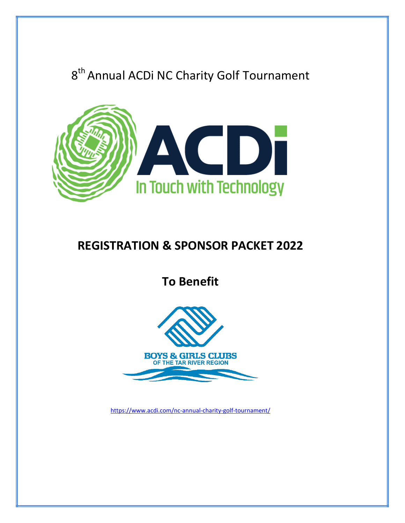# 8<sup>th</sup> Annual ACDi NC Charity Golf Tournament



## **REGISTRATION & SPONSOR PACKET 2022**

**To Benefit**



<https://www.acdi.com/nc-annual-charity-golf-tournament/>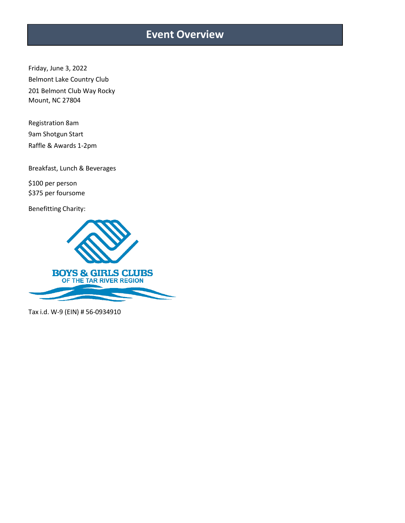### **Event Overview**

Friday, June 3, 2022 Belmont Lake Country Club 201 Belmont Club Way Rocky Mount, NC 27804

Registration 8am 9am Shotgun Start Raffle & Awards 1-2pm

Breakfast, Lunch & Beverages

\$100 per person \$375 per foursome

Benefitting Charity:



Tax i.d. W-9 (EIN) # 56-0934910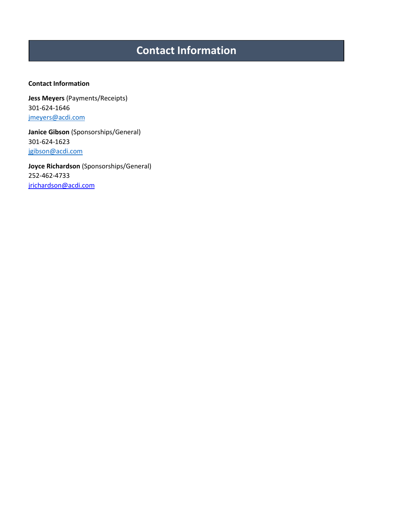## **Contact Information**

#### **Contact Information**

**Jess Meyers** (Payments/Receipts) 301-624-1646 [jmeyers@acdi.com](mailto:nwhite@acdi.com)

**Janice Gibson** (Sponsorships/General) 301-624-1623 [jgibson@acdi.com](mailto:jgibson@acdi.com)

**Joyce Richardson** (Sponsorships/General) 252-462-4733 [jrichardson@acdi.com](mailto:jrichardson@acdi.com)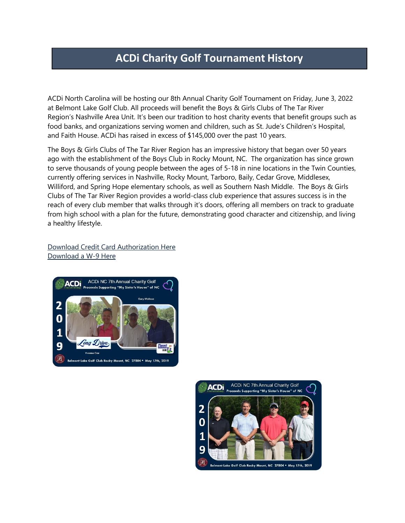### **ACDi Charity Golf Tournament History**

ACDi North Carolina will be hosting our 8th Annual Charity Golf Tournament on Friday, June 3, 2022 at Belmont Lake Golf Club. All proceeds will benefit the Boys & Girls Clubs of The Tar River Region's Nashville Area Unit. It's been our tradition to host charity events that benefit groups such as food banks, and organizations serving women and children, such as St. Jude's Children's Hospital, and Faith House. ACDi has raised in excess of \$145,000 over the past 10 years.

The Boys & Girls Clubs of The Tar River Region has an impressive history that began over 50 years ago with the establishment of the Boys Club in Rocky Mount, NC. The organization has since grown to serve thousands of young people between the ages of 5-18 in nine locations in the Twin Counties, currently offering services in Nashville, Rocky Mount, Tarboro, Baily, Cedar Grove, Middlesex, Williford, and Spring Hope elementary schools, as well as Southern Nash Middle. The Boys & Girls Clubs of The Tar River Region provides a world-class club experience that assures success is in the reach of every club member that walks through it's doors, offering all members on track to graduate from high school with a plan for the future, demonstrating good character and citizenship, and living a healthy lifestyle.

Download Credit Card [Authorization](https://www.acdi.com/wp-content/uploads/Credit-Card-Authorization-Form-Golf.pdf) Here [Download](https://www.acdi.com/wp-content/uploads/W-9.pdf) a W-9 Here



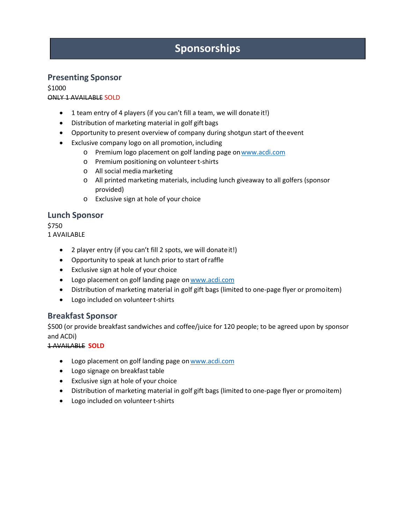## **Sponsorships**

#### **Presenting Sponsor**

\$1000 ONLY 1 AVAILABLE SOLD

- 1 team entry of 4 players (if you can't fill a team, we will donate it!)
- Distribution of marketing material in golf gift bags
- Opportunity to present overview of company during shotgun start of theevent
- Exclusive company logo on all promotion, including
	- o Premium logo placement on golf landing page o[nwww.acdi.com](http://www.acdi.com/)
	- o Premium positioning on volunteert-shirts
	- o All social media marketing
	- o All printed marketing materials, including lunch giveaway to all golfers (sponsor provided)
	- o Exclusive sign at hole of your choice

#### **Lunch Sponsor**

\$750

- 1 AVAILABLE
	- 2 player entry (if you can't fill 2 spots, we will donateit!)
	- Opportunity to speak at lunch prior to start ofraffle
	- Exclusive sign at hole of your choice
	- Logo placement on golf landing page on www.acdi.com
	- Distribution of marketing material in golf gift bags (limited to one-page flyer or promoitem)
	- Logo included on volunteert-shirts

#### **Breakfast Sponsor**

\$500 (or provide breakfast sandwiches and coffee/juice for 120 people; to be agreed upon by sponsor and ACDi)

1 AVAILABLE **SOLD**

- Logo placement on golf landing page on www.acdi.com
- Logo signage on breakfast table
- Exclusive sign at hole of your choice
- Distribution of marketing material in golf gift bags (limited to one-page flyer or promoitem)
- Logo included on volunteert-shirts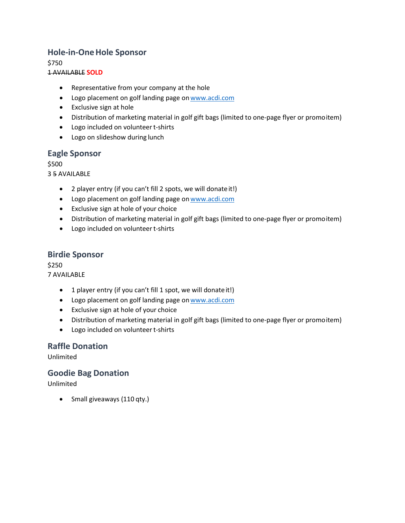#### **Hole-in-OneHole Sponsor**

\$750

#### 1 AVAILABLE **SOLD**

- Representative from your company at the hole
- Logo placement on golf landing page on www.acdi.com
- Exclusive sign at hole
- Distribution of marketing material in golf gift bags (limited to one-page flyer or promoitem)
- Logo included on volunteert-shirts
- Logo on slideshow during lunch

#### **Eagle Sponsor**

\$500

3 5 AVAILABLE

- 2 player entry (if you can't fill 2 spots, we will donateit!)
- Logo placement on golf landing page on www.acdi.com
- Exclusive sign at hole of your choice
- Distribution of marketing material in golf gift bags (limited to one-page flyer or promoitem)
- Logo included on volunteert-shirts

#### **Birdie Sponsor**

\$250 7 AVAILABLE

- 1 player entry (if you can't fill 1 spot, we will donate it!)
- Logo placement on golf landing page on www.acdi.com
- Exclusive sign at hole of your choice
- Distribution of marketing material in golf gift bags (limited to one-page flyer or promoitem)
- Logo included on volunteert-shirts

#### **Raffle Donation**

Unlimited

#### **Goodie Bag Donation**

Unlimited

• Small giveaways (110 qty.)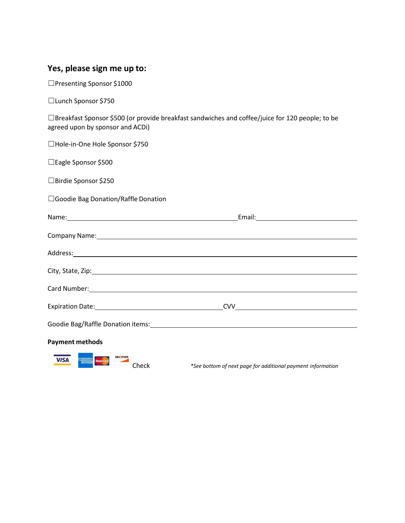#### **Yes, please sign me up to:**

☐Presenting Sponsor \$1000

☐Lunch Sponsor \$750

☐Breakfast Sponsor \$500 (or provide breakfast sandwiches and coffee/juice for 120 people; to be agreed upon by sponsor and ACDi)

| □Hole-in-One Hole Sponsor \$750                                                                                                                                                                                                |  |
|--------------------------------------------------------------------------------------------------------------------------------------------------------------------------------------------------------------------------------|--|
| □ Eagle Sponsor \$500                                                                                                                                                                                                          |  |
| □Birdie Sponsor \$250                                                                                                                                                                                                          |  |
| □ Goodie Bag Donation/Raffle Donation                                                                                                                                                                                          |  |
|                                                                                                                                                                                                                                |  |
| Company Name: 1988 Company Name: 1988 Company Name: 1988 Company Name: 1988 Company Name: 1988 Company Name: 1988 Company Name: 1988 Company Name: 1988 Company Name: 1988 Company Name: 1988 Company Name: 1988 Company Name: |  |
| Address: Andreas Address: Address: Address: Address: Address: Address: Address: Address: Address: Address: Address: Address: Address: Address: Address: Address: Address: Address: Address: Address: Address: Address: Address |  |
| City, State, Zip: 1988. City, State, Zip: 1988. City, State, Zip: 1988. City, State, Zip: 1988. City, State, Zip: 1988. City, State, Zip: 1988. City, State, Zip: 1988. City, State, 2008. City, State, 2008. City, State, 200 |  |
|                                                                                                                                                                                                                                |  |
|                                                                                                                                                                                                                                |  |
|                                                                                                                                                                                                                                |  |
| <b>Payment methods</b>                                                                                                                                                                                                         |  |
| <b>VISA</b><br><b>AMERICAN</b><br><b>MasterCard</b><br><b>EXPIRESS</b>                                                                                                                                                         |  |

Check *\*See bottom of next page for additional payment information*